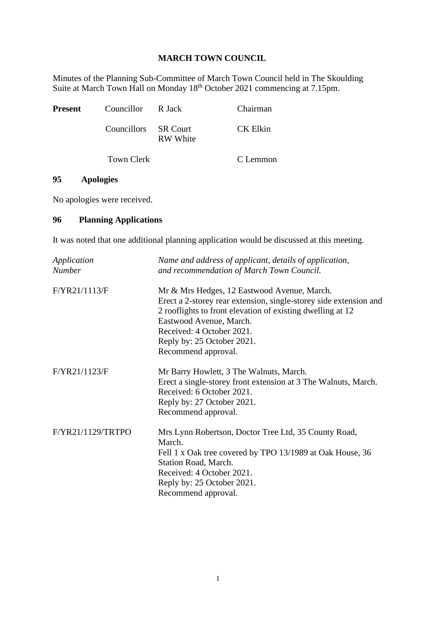## **MARCH TOWN COUNCIL**

Minutes of the Planning Sub-Committee of March Town Council held in The Skoulding Suite at March Town Hall on Monday 18<sup>th</sup> October 2021 commencing at 7.15pm.

| <b>Present</b> | Councillor R Jack    |                 | Chairman |
|----------------|----------------------|-----------------|----------|
|                | Councillors SR Court | <b>RW</b> White | CK Elkin |
|                | Town Clerk           |                 | C Lemmon |

## **95 Apologies**

No apologies were received.

## **96 Planning Applications**

It was noted that one additional planning application would be discussed at this meeting.

| Application<br><b>Number</b> | Name and address of applicant, details of application,<br>and recommendation of March Town Council.                                                                                                                                                                                         |
|------------------------------|---------------------------------------------------------------------------------------------------------------------------------------------------------------------------------------------------------------------------------------------------------------------------------------------|
| F/YR21/1113/F                | Mr & Mrs Hedges, 12 Eastwood Avenue, March.<br>Erect a 2-storey rear extension, single-storey side extension and<br>2 rooflights to front elevation of existing dwelling at 12<br>Eastwood Avenue, March.<br>Received: 4 October 2021.<br>Reply by: 25 October 2021.<br>Recommend approval. |
| F/YR21/1123/F                | Mr Barry Howlett, 3 The Walnuts, March.<br>Erect a single-storey front extension at 3 The Walnuts, March.<br>Received: 6 October 2021.<br>Reply by: 27 October 2021.<br>Recommend approval.                                                                                                 |
| F/YR21/1129/TRTPO            | Mrs Lynn Robertson, Doctor Tree Ltd, 35 County Road,<br>March.<br>Fell 1 x Oak tree covered by TPO 13/1989 at Oak House, 36<br>Station Road, March.<br>Received: 4 October 2021.<br>Reply by: 25 October 2021.<br>Recommend approval.                                                       |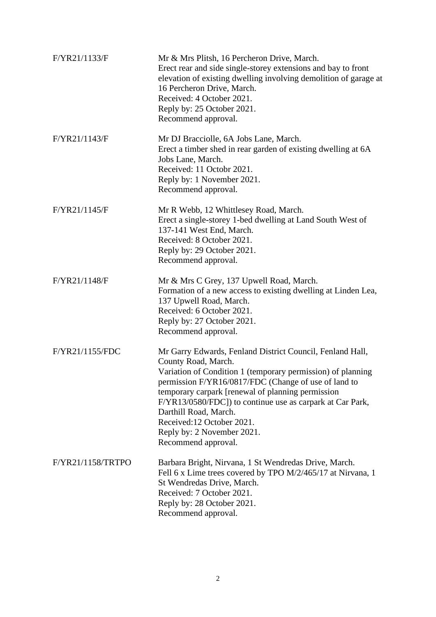| F/YR21/1133/F     | Mr & Mrs Plitsh, 16 Percheron Drive, March.<br>Erect rear and side single-storey extensions and bay to front<br>elevation of existing dwelling involving demolition of garage at<br>16 Percheron Drive, March.<br>Received: 4 October 2021.<br>Reply by: 25 October 2021.<br>Recommend approval.                                                                                                                                     |
|-------------------|--------------------------------------------------------------------------------------------------------------------------------------------------------------------------------------------------------------------------------------------------------------------------------------------------------------------------------------------------------------------------------------------------------------------------------------|
| F/YR21/1143/F     | Mr DJ Bracciolle, 6A Jobs Lane, March.<br>Erect a timber shed in rear garden of existing dwelling at 6A<br>Jobs Lane, March.<br>Received: 11 Octobr 2021.<br>Reply by: 1 November 2021.<br>Recommend approval.                                                                                                                                                                                                                       |
| F/YR21/1145/F     | Mr R Webb, 12 Whittlesey Road, March.<br>Erect a single-storey 1-bed dwelling at Land South West of<br>137-141 West End, March.<br>Received: 8 October 2021.<br>Reply by: 29 October 2021.<br>Recommend approval.                                                                                                                                                                                                                    |
| F/YR21/1148/F     | Mr & Mrs C Grey, 137 Upwell Road, March.<br>Formation of a new access to existing dwelling at Linden Lea,<br>137 Upwell Road, March.<br>Received: 6 October 2021.<br>Reply by: 27 October 2021.<br>Recommend approval.                                                                                                                                                                                                               |
| F/YR21/1155/FDC   | Mr Garry Edwards, Fenland District Council, Fenland Hall,<br>County Road, March.<br>Variation of Condition 1 (temporary permission) of planning<br>permission F/YR16/0817/FDC (Change of use of land to<br>temporary carpark [renewal of planning permission<br>F/YR13/0580/FDC]) to continue use as carpark at Car Park,<br>Darthill Road, March.<br>Received:12 October 2021.<br>Reply by: 2 November 2021.<br>Recommend approval. |
| F/YR21/1158/TRTPO | Barbara Bright, Nirvana, 1 St Wendredas Drive, March.<br>Fell 6 x Lime trees covered by TPO M/2/465/17 at Nirvana, 1<br>St Wendredas Drive, March.<br>Received: 7 October 2021.<br>Reply by: 28 October 2021.<br>Recommend approval.                                                                                                                                                                                                 |